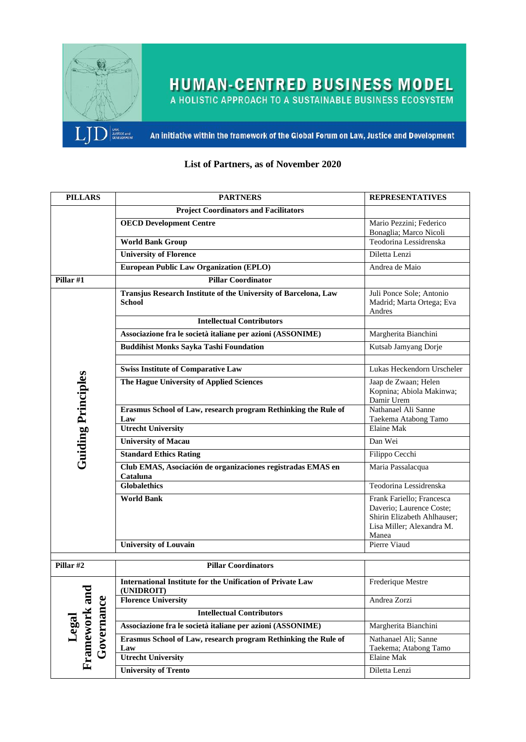

**HUMAN-CENTRED BUSINESS MODEL**<br>A HOLISTIC APPROACH TO A SUSTAINABLE BUSINESS ECOSYSTEM

An initiative within the framework of the Global Forum on Law, Justice and Development

| <b>PILLARS</b>                       | <b>PARTNERS</b>                                                                  | <b>REPRESENTATIVES</b>                                                                                                     |
|--------------------------------------|----------------------------------------------------------------------------------|----------------------------------------------------------------------------------------------------------------------------|
|                                      | <b>Project Coordinators and Facilitators</b>                                     |                                                                                                                            |
|                                      | <b>OECD Development Centre</b>                                                   | Mario Pezzini; Federico                                                                                                    |
|                                      |                                                                                  | Bonaglia; Marco Nicoli                                                                                                     |
|                                      | <b>World Bank Group</b>                                                          | Teodorina Lessidrenska                                                                                                     |
|                                      | <b>University of Florence</b>                                                    | Diletta Lenzi                                                                                                              |
|                                      | <b>European Public Law Organization (EPLO)</b>                                   | Andrea de Maio                                                                                                             |
| Pillar #1                            | <b>Pillar Coordinator</b>                                                        |                                                                                                                            |
|                                      | Transjus Research Institute of the University of Barcelona, Law<br><b>School</b> | Juli Ponce Sole; Antonio<br>Madrid; Marta Ortega; Eva<br>Andres                                                            |
|                                      | <b>Intellectual Contributors</b>                                                 |                                                                                                                            |
|                                      | Associazione fra le società italiane per azioni (ASSONIME)                       | Margherita Bianchini                                                                                                       |
|                                      | <b>Buddihist Monks Sayka Tashi Foundation</b>                                    | Kutsab Jamyang Dorje                                                                                                       |
|                                      |                                                                                  |                                                                                                                            |
|                                      | <b>Swiss Institute of Comparative Law</b>                                        | Lukas Heckendorn Urscheler                                                                                                 |
| <b>Guiding Principles</b>            | The Hague University of Applied Sciences                                         | Jaap de Zwaan; Helen<br>Kopnina; Abiola Makinwa;<br>Damir Urem                                                             |
|                                      | Erasmus School of Law, research program Rethinking the Rule of                   | Nathanael Ali Sanne                                                                                                        |
|                                      | Law<br><b>Utrecht University</b>                                                 | Taekema Atabong Tamo<br><b>Elaine Mak</b>                                                                                  |
|                                      |                                                                                  |                                                                                                                            |
|                                      | <b>University of Macau</b>                                                       | Dan Wei                                                                                                                    |
|                                      | <b>Standard Ethics Rating</b>                                                    | Filippo Cecchi                                                                                                             |
|                                      | Club EMAS, Asociación de organizaciones registradas EMAS en<br>Cataluna          | Maria Passalacqua                                                                                                          |
|                                      | <b>Globalethics</b>                                                              | Teodorina Lessidrenska                                                                                                     |
|                                      | <b>World Bank</b>                                                                | Frank Fariello; Francesca<br>Daverio; Laurence Coste;<br>Shirin Elizabeth Ahlhauser;<br>Lisa Miller; Alexandra M.<br>Manea |
|                                      | <b>University of Louvain</b>                                                     | Pierre Viaud                                                                                                               |
| Pillar #2                            | <b>Pillar Coordinators</b>                                                       |                                                                                                                            |
|                                      |                                                                                  |                                                                                                                            |
| Framework and<br>Governance<br>Legal | <b>International Institute for the Unification of Private Law</b><br>(UNIDROIT)  | Frederique Mestre                                                                                                          |
|                                      | <b>Florence University</b>                                                       | Andrea Zorzi                                                                                                               |
|                                      | <b>Intellectual Contributors</b>                                                 |                                                                                                                            |
|                                      | Associazione fra le società italiane per azioni (ASSONIME)                       | Margherita Bianchini                                                                                                       |
|                                      | Erasmus School of Law, research program Rethinking the Rule of<br>Law            | Nathanael Ali; Sanne<br>Taekema; Atabong Tamo                                                                              |
|                                      | <b>Utrecht University</b>                                                        | Elaine Mak                                                                                                                 |
|                                      | <b>University of Trento</b>                                                      | Diletta Lenzi                                                                                                              |

## **List of Partners, as of November 2020**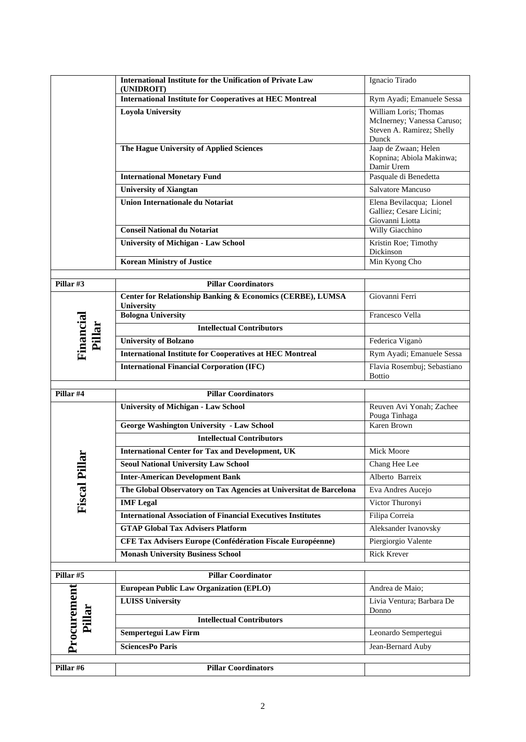|                       | <b>International Institute for the Unification of Private Law</b><br>(UNIDROIT)         | Ignacio Tirado                                                                            |
|-----------------------|-----------------------------------------------------------------------------------------|-------------------------------------------------------------------------------------------|
|                       | <b>International Institute for Cooperatives at HEC Montreal</b>                         | Rym Ayadi; Emanuele Sessa                                                                 |
|                       | <b>Loyola University</b>                                                                | William Loris; Thomas<br>McInerney; Vanessa Caruso;<br>Steven A. Ramirez; Shelly<br>Dunck |
|                       | The Hague University of Applied Sciences                                                | Jaap de Zwaan; Helen<br>Kopnina; Abiola Makinwa;<br>Damir Urem                            |
|                       | <b>International Monetary Fund</b>                                                      | Pasquale di Benedetta                                                                     |
|                       | <b>University of Xiangtan</b>                                                           | Salvatore Mancuso                                                                         |
|                       | <b>Union Internationale du Notariat</b>                                                 | Elena Bevilacqua; Lionel<br>Galliez; Cesare Licini;<br>Giovanni Liotta                    |
|                       | <b>Conseil National du Notariat</b>                                                     | Willy Giacchino                                                                           |
|                       | <b>University of Michigan - Law School</b>                                              | Kristin Roe; Timothy<br>Dickinson                                                         |
|                       | <b>Korean Ministry of Justice</b>                                                       | Min Kyong Cho                                                                             |
| Pillar #3             | <b>Pillar Coordinators</b>                                                              |                                                                                           |
|                       | <b>Center for Relationship Banking &amp; Economics (CERBE), LUMSA</b><br>University     | Giovanni Ferri                                                                            |
| Financial             | <b>Bologna University</b>                                                               | Francesco Vella                                                                           |
| Pillar                | <b>Intellectual Contributors</b>                                                        |                                                                                           |
|                       | <b>University of Bolzano</b>                                                            | Federica Viganò                                                                           |
|                       | <b>International Institute for Cooperatives at HEC Montreal</b>                         | Rym Ayadi; Emanuele Sessa                                                                 |
|                       | <b>International Financial Corporation (IFC)</b>                                        | Flavia Rosembuj; Sebastiano<br><b>Bottio</b>                                              |
| Pillar #4             | <b>Pillar Coordinators</b>                                                              |                                                                                           |
|                       | <b>University of Michigan - Law School</b>                                              | Reuven Avi Yonah; Zachee<br>Pouga Tinhaga                                                 |
|                       | <b>George Washington University - Law School</b>                                        | Karen Brown                                                                               |
|                       | <b>Intellectual Contributors</b>                                                        |                                                                                           |
| llar                  | <b>International Center for Tax and Development, UK</b>                                 | Mick Moore                                                                                |
|                       | <b>Seoul National University Law School</b>                                             | Chang Hee Lee                                                                             |
|                       | <b>Inter-American Development Bank</b>                                                  | Alberto Barreix                                                                           |
| <b>Fiscal Pi</b>      | The Global Observatory on Tax Agencies at Universitat de Barcelona                      | Eva Andres Aucejo<br>Victor Thuronyi                                                      |
|                       | <b>IMF</b> Legal<br><b>International Association of Financial Executives Institutes</b> | Filipa Correia                                                                            |
|                       | <b>GTAP Global Tax Advisers Platform</b>                                                | Aleksander Ivanovsky                                                                      |
|                       | CFE Tax Advisers Europe (Confédération Fiscale Européenne)                              | Piergiorgio Valente                                                                       |
|                       | <b>Monash University Business School</b>                                                | Rick Krever                                                                               |
|                       |                                                                                         |                                                                                           |
| Pillar #5             | <b>Pillar Coordinator</b>                                                               |                                                                                           |
|                       | <b>European Public Law Organization (EPLO)</b>                                          | Andrea de Maio;                                                                           |
| Procurement<br>Pillar | <b>LUISS University</b>                                                                 | Livia Ventura; Barbara De<br>Donno                                                        |
|                       | <b>Intellectual Contributors</b>                                                        |                                                                                           |
|                       | <b>Sempertegui Law Firm</b>                                                             | Leonardo Sempertegui                                                                      |
|                       | <b>SciencesPo Paris</b>                                                                 | Jean-Bernard Auby                                                                         |
| Pillar #6             | <b>Pillar Coordinators</b>                                                              |                                                                                           |